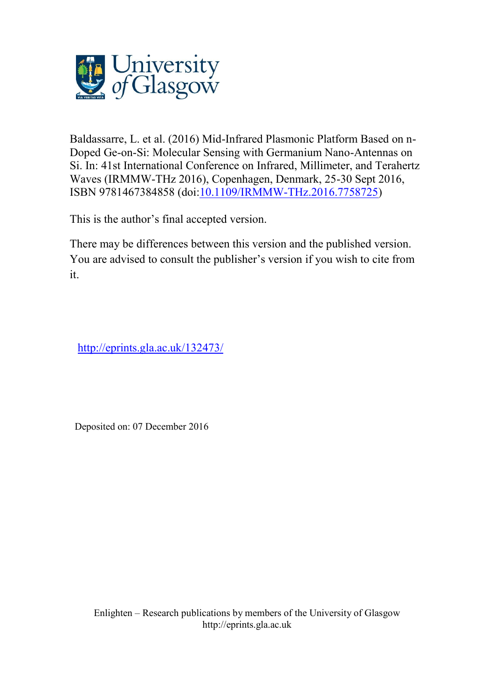

Baldassarre, L. et al. (2016) Mid-Infrared Plasmonic Platform Based on n-Doped Ge-on-Si: Molecular Sensing with Germanium Nano-Antennas on Si. In: 41st International Conference on Infrared, Millimeter, and Terahertz Waves (IRMMW-THz 2016), Copenhagen, Denmark, 25-30 Sept 2016, ISBN 9781467384858 (doi[:10.1109/IRMMW-THz.2016.7758725\)](http://ieeexplore.ieee.org/document/7758725/)

This is the author's final accepted version.

There may be differences between this version and the published version. You are advised to consult the publisher's version if you wish to cite from it.

[http://eprints.gla.ac.uk/132473/](http://eprints.gla.ac.uk/131442/)

Deposited on: 07 December 2016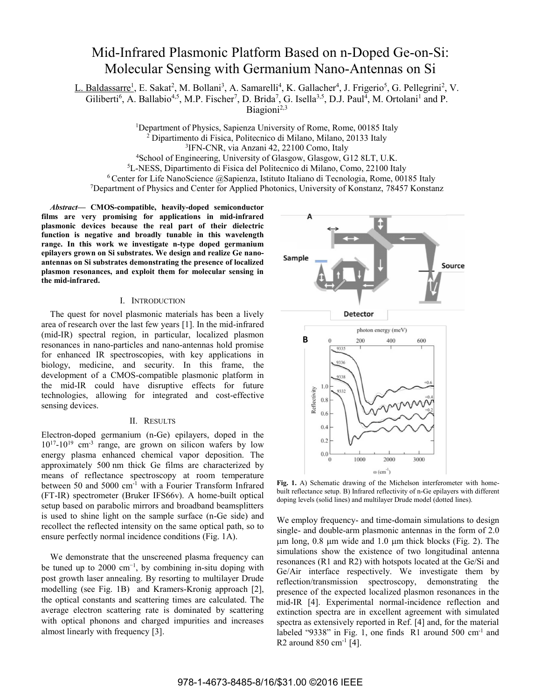## Mid-Infrared Plasmonic Platform Based on n-Doped Ge-on-Si: Molecular Sensing with Germanium Nano-Antennas on Si

L. Baldassarre<sup>1</sup>, E. Sakat<sup>2</sup>, M. Bollani<sup>3</sup>, A. Samarelli<sup>4</sup>, K. Gallacher<sup>4</sup>, J. Frigerio<sup>5</sup>, G. Pellegrini<sup>2</sup>, V.

Giliberti<sup>6</sup>, A. Ballabio<sup>4,5</sup>, M.P. Fischer<sup>7</sup>, D. Brida<sup>7</sup>, G. Isella<sup>3,5</sup>, D.J. Paul<sup>4</sup>, M. Ortolani<sup>1</sup> and P.

Biagioni<sup>2,3</sup>

<sup>1</sup>Department of Physics, Sapienza University of Rome, Rome, 00185 Italy <sup>2</sup> Dinartimento di Fisica, Politecnico di Milano, Milano, 20133 Italy Dipartimento di Fisica, Politecnico di Milano, Milano, 20133 Italy <sup>3</sup> IFN-CNR, via Anzani 42, 22100 Como, Italy<br><sup>4</sup> School of Engineering University of Glasgow, Glasgow G

<sup>4</sup>School of Engineering, University of Glasgow, Glasgow, G12 8LT, U.K.  $5L$ -NESS, Dipartimento di Fisica del Politecnico di Milano, Como, 22100 Italy

 $6$ Center for Life NanoScience @Sapienza, Istituto Italiano di Tecnologia, Rome, 00185 Italy

<sup>7</sup>Department of Physics and Center for Applied Photonics, University of Konstanz, 78457 Konstanz

*Abstract***— CMOS-compatible, heavily-doped semiconductor films are very promising for applications in mid-infrared plasmonic devices because the real part of their dielectric function is negative and broadly tunable in this wavelength range. In this work we investigate n-type doped germanium epilayers grown on Si substrates. We design and realize Ge nanoantennas on Si substrates demonstrating the presence of localized plasmon resonances, and exploit them for molecular sensing in the mid-infrared.** 

## I. INTRODUCTION

The quest for novel plasmonic materials has been a lively area of research over the last few years [1]. In the mid-infrared (mid-IR) spectral region, in particular, localized plasmon resonances in nano-particles and nano-antennas hold promise for enhanced IR spectroscopies, with key applications in biology, medicine, and security. In this frame, the development of a CMOS-compatible plasmonic platform in the mid-IR could have disruptive effects for future technologies, allowing for integrated and cost-effective sensing devices.

## II. RESULTS

Electron-doped germanium (n-Ge) epilayers, doped in the 1017-1019 cm-3 range, are grown on silicon wafers by low energy plasma enhanced chemical vapor deposition. The approximately 500 nm thick Ge films are characterized by means of reflectance spectroscopy at room temperature between 50 and 5000 cm-1 with a Fourier Transform Infrared (FT-IR) spectrometer (Bruker IFS66v). A home-built optical setup based on parabolic mirrors and broadband beamsplitters is used to shine light on the sample surface (n-Ge side) and recollect the reflected intensity on the same optical path, so to ensure perfectly normal incidence conditions (Fig. 1A).

We demonstrate that the unscreened plasma frequency can be tuned up to 2000  $cm^{-1}$ , by combining in-situ doping with post growth laser annealing. By resorting to multilayer Drude modelling (see Fig. 1B) and Kramers-Kronig approach [2], the optical constants and scattering times are calculated. The average electron scattering rate is dominated by scattering with optical phonons and charged impurities and increases almost linearly with frequency [3].



Fig. 1. A) Schematic drawing of the Michelson interferometer with homebuilt reflectance setup. B) Infrared reflectivity of n-Ge epilayers with different doping levels (solid lines) and multilayer Drude model (dotted lines).

We employ frequency- and time-domain simulations to design single- and double-arm plasmonic antennas in the form of 2.0  $\mu$ m long, 0.8  $\mu$ m wide and 1.0  $\mu$ m thick blocks (Fig. 2). The simulations show the existence of two longitudinal antenna resonances (R1 and R2) with hotspots located at the Ge/Si and Ge/Air interface respectively. We investigate them by reflection/transmission spectroscopy, demonstrating the presence of the expected localized plasmon resonances in the mid-IR [4]. Experimental normal-incidence reflection and extinction spectra are in excellent agreement with simulated spectra as extensively reported in Ref. [4] and, for the material labeled "9338" in Fig. 1, one finds  $R1$  around 500 cm<sup>-1</sup> and R2 around  $850 \text{ cm}^{-1}$  [4].